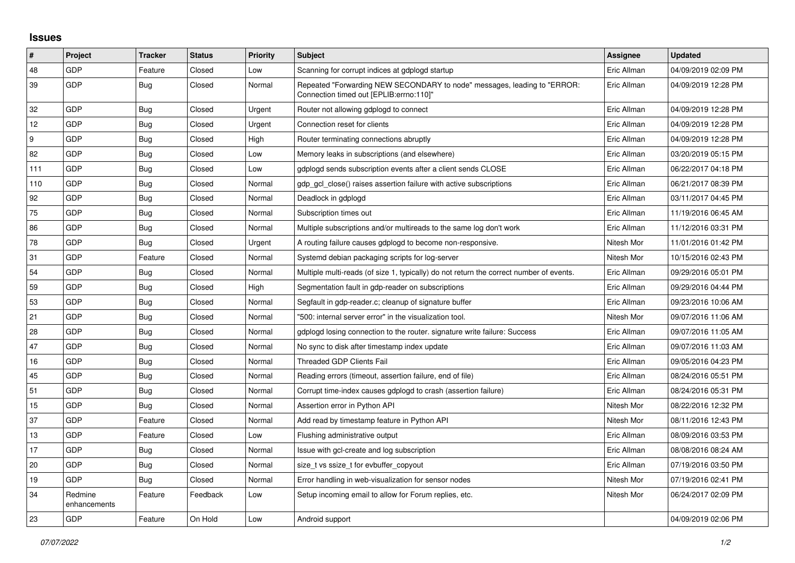## **Issues**

| $\vert$ # | Project                 | <b>Tracker</b> | <b>Status</b> | Priority | <b>Subject</b>                                                                                                      | Assignee    | <b>Updated</b>      |
|-----------|-------------------------|----------------|---------------|----------|---------------------------------------------------------------------------------------------------------------------|-------------|---------------------|
| 48        | GDP                     | Feature        | Closed        | Low      | Scanning for corrupt indices at gdplogd startup                                                                     | Eric Allman | 04/09/2019 02:09 PM |
| 39        | <b>GDP</b>              | <b>Bug</b>     | Closed        | Normal   | Repeated "Forwarding NEW SECONDARY to node" messages, leading to "ERROR:<br>Connection timed out [EPLIB:errno:110]" | Eric Allman | 04/09/2019 12:28 PM |
| 32        | GDP                     | Bug            | Closed        | Urgent   | Router not allowing gdplogd to connect                                                                              | Eric Allman | 04/09/2019 12:28 PM |
| 12        | GDP                     | Bug            | Closed        | Urgent   | Connection reset for clients                                                                                        | Eric Allman | 04/09/2019 12:28 PM |
| 9         | <b>GDP</b>              | <b>Bug</b>     | Closed        | High     | Router terminating connections abruptly                                                                             | Eric Allman | 04/09/2019 12:28 PM |
| 82        | GDP                     | <b>Bug</b>     | Closed        | Low      | Memory leaks in subscriptions (and elsewhere)                                                                       | Eric Allman | 03/20/2019 05:15 PM |
| 111       | GDP                     | Bug            | Closed        | Low      | gdplogd sends subscription events after a client sends CLOSE                                                        | Eric Allman | 06/22/2017 04:18 PM |
| 110       | GDP                     | Bug            | Closed        | Normal   | gdp gcl close() raises assertion failure with active subscriptions                                                  | Eric Allman | 06/21/2017 08:39 PM |
| 92        | GDP                     | <b>Bug</b>     | Closed        | Normal   | Deadlock in gdplogd                                                                                                 | Eric Allman | 03/11/2017 04:45 PM |
| 75        | GDP                     | Bug            | Closed        | Normal   | Subscription times out                                                                                              | Eric Allman | 11/19/2016 06:45 AM |
| 86        | GDP                     | Bug            | Closed        | Normal   | Multiple subscriptions and/or multireads to the same log don't work                                                 | Eric Allman | 11/12/2016 03:31 PM |
| 78        | GDP                     | Bug            | Closed        | Urgent   | A routing failure causes gdplogd to become non-responsive.                                                          | Nitesh Mor  | 11/01/2016 01:42 PM |
| 31        | GDP                     | Feature        | Closed        | Normal   | Systemd debian packaging scripts for log-server                                                                     | Nitesh Mor  | 10/15/2016 02:43 PM |
| 54        | GDP                     | <b>Bug</b>     | Closed        | Normal   | Multiple multi-reads (of size 1, typically) do not return the correct number of events.                             | Eric Allman | 09/29/2016 05:01 PM |
| 59        | GDP                     | Bug            | Closed        | High     | Segmentation fault in gdp-reader on subscriptions                                                                   | Eric Allman | 09/29/2016 04:44 PM |
| 53        | GDP                     | <b>Bug</b>     | Closed        | Normal   | Segfault in gdp-reader.c; cleanup of signature buffer                                                               | Eric Allman | 09/23/2016 10:06 AM |
| 21        | GDP                     | <b>Bug</b>     | Closed        | Normal   | '500: internal server error" in the visualization tool.                                                             | Nitesh Mor  | 09/07/2016 11:06 AM |
| 28        | GDP                     | <b>Bug</b>     | Closed        | Normal   | gdplogd losing connection to the router, signature write failure: Success                                           | Eric Allman | 09/07/2016 11:05 AM |
| 47        | GDP                     | Bug            | Closed        | Normal   | No sync to disk after timestamp index update                                                                        | Eric Allman | 09/07/2016 11:03 AM |
| 16        | GDP                     | Bug            | Closed        | Normal   | Threaded GDP Clients Fail                                                                                           | Eric Allman | 09/05/2016 04:23 PM |
| 45        | GDP                     | <b>Bug</b>     | Closed        | Normal   | Reading errors (timeout, assertion failure, end of file)                                                            | Eric Allman | 08/24/2016 05:51 PM |
| 51        | GDP                     | <b>Bug</b>     | Closed        | Normal   | Corrupt time-index causes gdplogd to crash (assertion failure)                                                      | Eric Allman | 08/24/2016 05:31 PM |
| 15        | GDP                     | <b>Bug</b>     | Closed        | Normal   | Assertion error in Python API                                                                                       | Nitesh Mor  | 08/22/2016 12:32 PM |
| 37        | GDP                     | Feature        | Closed        | Normal   | Add read by timestamp feature in Python API                                                                         | Nitesh Mor  | 08/11/2016 12:43 PM |
| 13        | GDP                     | Feature        | Closed        | Low      | Flushing administrative output                                                                                      | Eric Allman | 08/09/2016 03:53 PM |
| 17        | GDP                     | <b>Bug</b>     | Closed        | Normal   | Issue with gcl-create and log subscription                                                                          | Eric Allman | 08/08/2016 08:24 AM |
| 20        | GDP                     | <b>Bug</b>     | Closed        | Normal   | size t vs ssize t for evbuffer copyout                                                                              | Eric Allman | 07/19/2016 03:50 PM |
| 19        | GDP                     | Bug            | Closed        | Normal   | Error handling in web-visualization for sensor nodes                                                                | Nitesh Mor  | 07/19/2016 02:41 PM |
| 34        | Redmine<br>enhancements | Feature        | Feedback      | Low      | Setup incoming email to allow for Forum replies, etc.                                                               | Nitesh Mor  | 06/24/2017 02:09 PM |
| 23        | GDP                     | Feature        | On Hold       | Low      | Android support                                                                                                     |             | 04/09/2019 02:06 PM |